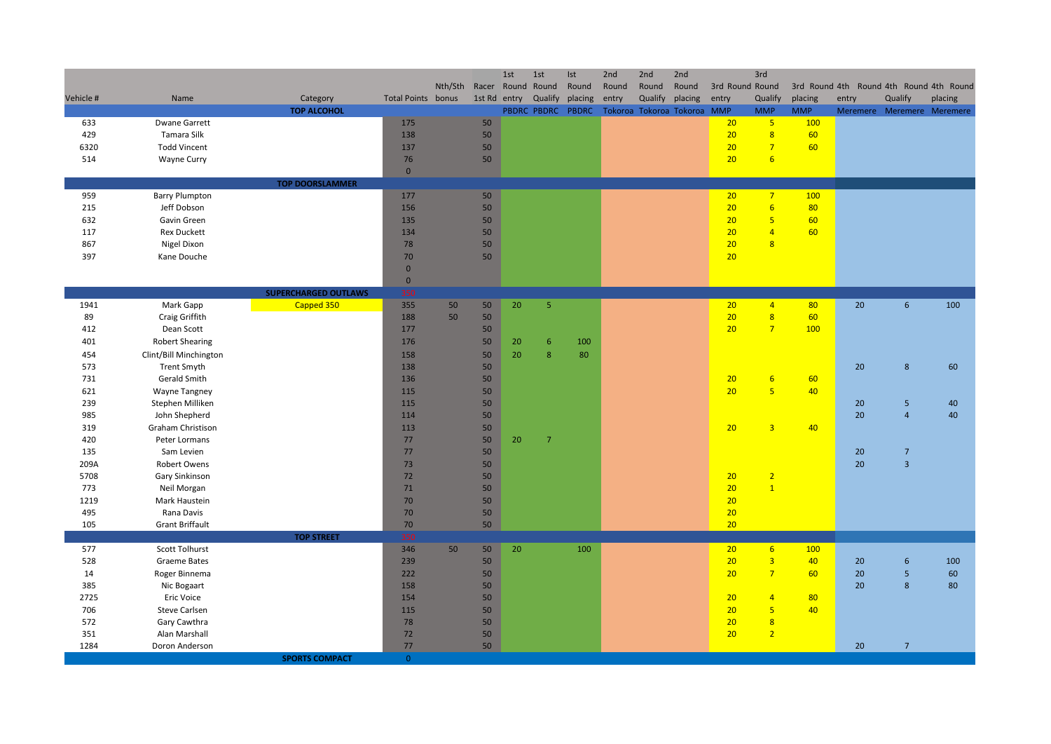|             |                               |                                |                           |         |              | 1st | 1st                          | Ist     | 2nd   | 2nd                                    | 2nd     |                 | 3rd                                       |                       |                                         |                                       |         |
|-------------|-------------------------------|--------------------------------|---------------------------|---------|--------------|-----|------------------------------|---------|-------|----------------------------------------|---------|-----------------|-------------------------------------------|-----------------------|-----------------------------------------|---------------------------------------|---------|
|             |                               |                                |                           | Nth/Sth | Racer Round  |     | Round                        | Round   | Round | Round                                  | Round   | 3rd Round Round |                                           |                       | 3rd Round 4th Round 4th Round 4th Round |                                       |         |
| Vehicle #   | Name                          | Category<br><b>TOP ALCOHOL</b> | <b>Total Points bonus</b> |         | 1st Rd entry |     | Qualify<br>PBDRC PBDRC PBDRC | placing | entry | Qualify<br>Tokoroa Tokoroa Tokoroa MMP | placing | entry           | Qualify<br><b>MMP</b>                     | placing<br><b>MMP</b> | entry                                   | Qualify<br>Meremere Meremere Meremere | placing |
| 633         | <b>Dwane Garrett</b>          |                                | 175                       |         | 50           |     |                              |         |       |                                        |         | 20              | 5 <sup>1</sup>                            | 100                   |                                         |                                       |         |
| 429         | Tamara Silk                   |                                | 138                       |         | 50           |     |                              |         |       |                                        |         | 20              | $\overline{\mathbf{8}}$                   | 60                    |                                         |                                       |         |
| 6320        | <b>Todd Vincent</b>           |                                | 137                       |         | 50           |     |                              |         |       |                                        |         | 20              | $\overline{7}$                            | 60                    |                                         |                                       |         |
| 514         | <b>Wayne Curry</b>            |                                | 76                        |         | 50           |     |                              |         |       |                                        |         | 20              | $6\overline{6}$                           |                       |                                         |                                       |         |
|             |                               |                                | $\mathbf{0}$              |         |              |     |                              |         |       |                                        |         |                 |                                           |                       |                                         |                                       |         |
|             |                               | <b>TOP DOORSLAMMER</b>         |                           |         |              |     |                              |         |       |                                        |         |                 |                                           |                       |                                         |                                       |         |
| 959         | <b>Barry Plumpton</b>         |                                | 177                       |         | 50           |     |                              |         |       |                                        |         | 20              | 7 <sup>7</sup>                            | 100                   |                                         |                                       |         |
| 215         | Jeff Dobson                   |                                | 156                       |         | 50           |     |                              |         |       |                                        |         | 20              | 6 <sup>1</sup>                            | 80                    |                                         |                                       |         |
| 632         | Gavin Green                   |                                | 135                       |         | 50           |     |                              |         |       |                                        |         | 20              | $5\phantom{a}$                            | 60                    |                                         |                                       |         |
| 117         | <b>Rex Duckett</b>            |                                | 134                       |         | 50           |     |                              |         |       |                                        |         | 20              | $\overline{4}$                            | 60                    |                                         |                                       |         |
| 867         | Nigel Dixon                   |                                | 78                        |         | 50<br>50     |     |                              |         |       |                                        |         | 20              | $\overline{8}$                            |                       |                                         |                                       |         |
| 397         | Kane Douche                   |                                | 70<br>$\mathbf{0}$        |         |              |     |                              |         |       |                                        |         | 20              |                                           |                       |                                         |                                       |         |
|             |                               |                                | $\mathbf 0$               |         |              |     |                              |         |       |                                        |         |                 |                                           |                       |                                         |                                       |         |
|             |                               | <b>SUPERCHARGED OUTLAWS</b>    | 350                       |         |              |     |                              |         |       |                                        |         |                 |                                           |                       |                                         |                                       |         |
| 1941        | Mark Gapp                     | Capped 350                     | 355                       | 50      | 50           | 20  | $\overline{5}$               |         |       |                                        |         | 20              | 4 <sup>1</sup>                            | 80                    | 20                                      | $6\phantom{1}$                        | 100     |
| 89          | Craig Griffith                |                                | 188                       | 50      | 50           |     |                              |         |       |                                        |         | 20              | $\overline{8}$                            | 60                    |                                         |                                       |         |
| 412         | Dean Scott                    |                                | 177                       |         | 50           |     |                              |         |       |                                        |         | 20              | 7 <sup>2</sup>                            | 100                   |                                         |                                       |         |
| 401         | <b>Robert Shearing</b>        |                                | 176                       |         | 50           | 20  | 6                            | 100     |       |                                        |         |                 |                                           |                       |                                         |                                       |         |
| 454         | Clint/Bill Minchington        |                                | 158                       |         | 50           | 20  | 8                            | 80      |       |                                        |         |                 |                                           |                       |                                         |                                       |         |
| 573         | <b>Trent Smyth</b>            |                                | 138                       |         | 50           |     |                              |         |       |                                        |         |                 |                                           |                       | 20                                      | $\bf 8$                               | 60      |
| 731         | Gerald Smith                  |                                | 136                       |         | 50           |     |                              |         |       |                                        |         | 20              | $6\overline{6}$                           | 60                    |                                         |                                       |         |
| 621         | <b>Wayne Tangney</b>          |                                | 115                       |         | 50           |     |                              |         |       |                                        |         | 20              | $5\overline{5}$                           | 40                    |                                         |                                       |         |
| 239         | Stephen Milliken              |                                | 115                       |         | 50           |     |                              |         |       |                                        |         |                 |                                           |                       | 20                                      | 5                                     | 40      |
| 985         | John Shepherd                 |                                | 114                       |         | 50           |     |                              |         |       |                                        |         |                 |                                           |                       | 20                                      | $\overline{4}$                        | 40      |
| 319         | Graham Christison             |                                | 113                       |         | 50           |     |                              |         |       |                                        |         | 20              | $\overline{3}$                            | 40                    |                                         |                                       |         |
| 420         | Peter Lormans                 |                                | 77                        |         | 50           | 20  | $\overline{7}$               |         |       |                                        |         |                 |                                           |                       |                                         |                                       |         |
| 135<br>209A | Sam Levien<br>Robert Owens    |                                | 77<br>73                  |         | 50<br>50     |     |                              |         |       |                                        |         |                 |                                           |                       | 20<br>20                                | $\overline{7}$<br>$\overline{3}$      |         |
| 5708        | Gary Sinkinson                |                                | 72                        |         | 50           |     |                              |         |       |                                        |         | 20              | $\overline{2}$                            |                       |                                         |                                       |         |
| 773         | Neil Morgan                   |                                | 71                        |         | 50           |     |                              |         |       |                                        |         | 20              | $\overline{1}$                            |                       |                                         |                                       |         |
| 1219        | Mark Haustein                 |                                | 70                        |         | 50           |     |                              |         |       |                                        |         | 20              |                                           |                       |                                         |                                       |         |
| 495         | Rana Davis                    |                                | 70                        |         | 50           |     |                              |         |       |                                        |         | 20              |                                           |                       |                                         |                                       |         |
| 105         | <b>Grant Briffault</b>        |                                | 70                        |         | 50           |     |                              |         |       |                                        |         | 20              |                                           |                       |                                         |                                       |         |
|             |                               | <b>TOP STREET</b>              | 350                       |         |              |     |                              |         |       |                                        |         |                 |                                           |                       |                                         |                                       |         |
| 577         | <b>Scott Tolhurst</b>         |                                | 346                       | 50      | 50           | 20  |                              | 100     |       |                                        |         | 20              | 6 <sup>1</sup>                            | 100                   |                                         |                                       |         |
| 528         | Graeme Bates                  |                                | 239                       |         | 50           |     |                              |         |       |                                        |         | 20              | $\overline{3}$                            | 40                    | 20                                      | 6                                     | 100     |
| 14          | Roger Binnema                 |                                | 222                       |         | 50           |     |                              |         |       |                                        |         | 20              | 7 <sup>2</sup>                            | 60                    | 20                                      | $5\phantom{a}$                        | 60      |
| 385         | Nic Bogaart                   |                                | 158                       |         | 50           |     |                              |         |       |                                        |         |                 |                                           |                       | 20                                      | 8                                     | 80      |
| 2725        | Eric Voice                    |                                | 154                       |         | 50           |     |                              |         |       |                                        |         | 20              | $\overline{4}$                            | 80                    |                                         |                                       |         |
| 706         | <b>Steve Carlsen</b>          |                                | 115                       |         | 50           |     |                              |         |       |                                        |         | 20              | $5\phantom{a}$                            | 40                    |                                         |                                       |         |
| 572<br>351  | Gary Cawthra<br>Alan Marshall |                                | 78<br>72                  |         | 50<br>50     |     |                              |         |       |                                        |         | 20<br>20        | $\overline{\mathbf{8}}$<br>$\overline{2}$ |                       |                                         |                                       |         |
| 1284        | Doron Anderson                |                                | 77                        |         | 50           |     |                              |         |       |                                        |         |                 |                                           |                       | 20                                      | $\overline{7}$                        |         |
|             |                               | <b>SPORTS COMPACT</b>          | $\overline{0}$            |         |              |     |                              |         |       |                                        |         |                 |                                           |                       |                                         |                                       |         |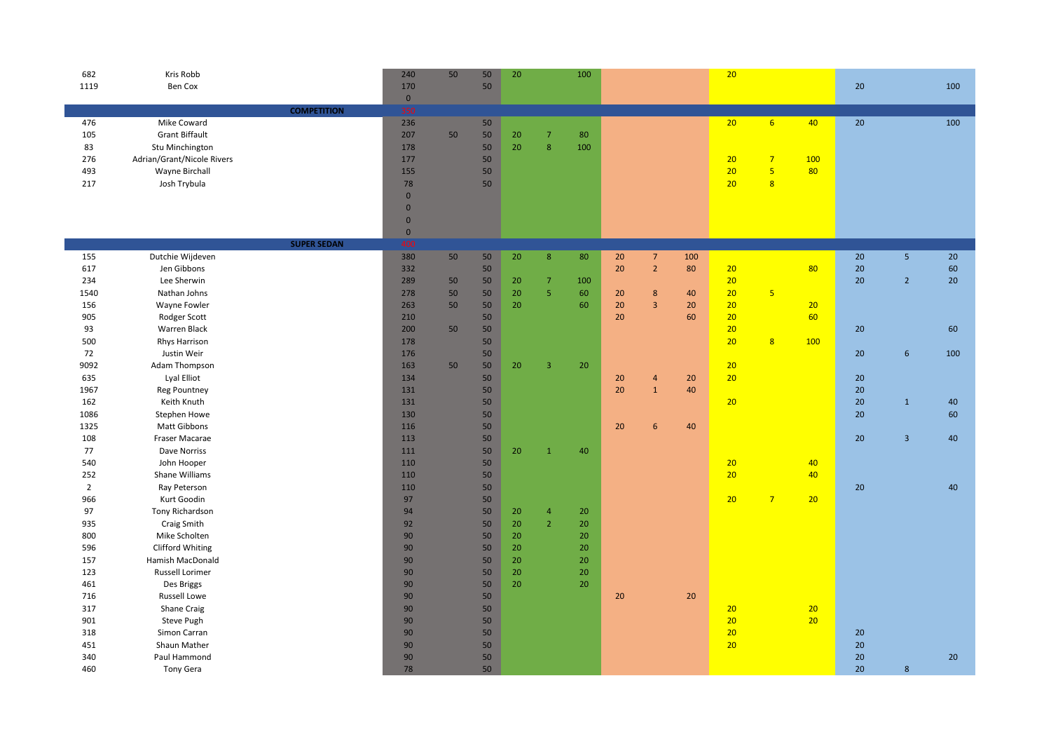| 682            | Kris Robb                  |                    | 240          | 50 | 50     | 20 |                         | 100 |    |                         |     | 20 |                         |     |    |                  |     |
|----------------|----------------------------|--------------------|--------------|----|--------|----|-------------------------|-----|----|-------------------------|-----|----|-------------------------|-----|----|------------------|-----|
| 1119           | Ben Cox                    |                    | 170          |    | 50     |    |                         |     |    |                         |     |    |                         |     | 20 |                  | 100 |
|                |                            |                    | $\mathbf 0$  |    |        |    |                         |     |    |                         |     |    |                         |     |    |                  |     |
|                |                            | <b>COMPETITION</b> | 350          |    |        |    |                         |     |    |                         |     |    |                         |     |    |                  |     |
| 476            | Mike Coward                |                    | 236          |    | 50     |    |                         |     |    |                         |     | 20 | 6 <sup>1</sup>          | 40  | 20 |                  | 100 |
| 105            | <b>Grant Biffault</b>      |                    | 207          | 50 | 50     | 20 | $\overline{7}$          | 80  |    |                         |     |    |                         |     |    |                  |     |
| 83             | Stu Minchington            |                    | 178          |    | 50     | 20 | 8                       | 100 |    |                         |     |    |                         |     |    |                  |     |
| 276            | Adrian/Grant/Nicole Rivers |                    | 177          |    | 50     |    |                         |     |    |                         |     | 20 | $\overline{7}$          | 100 |    |                  |     |
| 493            | Wayne Birchall             |                    | 155          |    | 50     |    |                         |     |    |                         |     | 20 | $\overline{\mathbf{5}}$ | 80  |    |                  |     |
| 217            | Josh Trybula               |                    | 78           |    | 50     |    |                         |     |    |                         |     | 20 | $\mathbf{8}$            |     |    |                  |     |
|                |                            |                    | $\mathbf{0}$ |    |        |    |                         |     |    |                         |     |    |                         |     |    |                  |     |
|                |                            |                    | $\mathbf{0}$ |    |        |    |                         |     |    |                         |     |    |                         |     |    |                  |     |
|                |                            |                    | $\mathbf 0$  |    |        |    |                         |     |    |                         |     |    |                         |     |    |                  |     |
|                |                            |                    | $\mathbf 0$  |    |        |    |                         |     |    |                         |     |    |                         |     |    |                  |     |
|                |                            | <b>SUPER SEDAN</b> | 400          |    |        |    |                         |     |    |                         |     |    |                         |     |    |                  |     |
| 155            | Dutchie Wijdeven           |                    | 380          | 50 | 50     | 20 | 8                       | 80  | 20 | $\overline{7}$          | 100 |    |                         |     | 20 | 5 <sub>o</sub>   | 20  |
| 617            | Jen Gibbons                |                    | 332          |    | 50     |    |                         |     | 20 | $\mathbf 2$             | 80  | 20 |                         | 80  | 20 |                  | 60  |
| 234            | Lee Sherwin                |                    | 289          | 50 | 50     | 20 | $\overline{7}$          | 100 |    |                         |     | 20 |                         |     | 20 | $\overline{2}$   | 20  |
| 1540           | Nathan Johns               |                    | 278          | 50 | 50     | 20 | $\sqrt{5}$              | 60  | 20 | $\bf 8$                 | 40  | 20 | $\overline{\mathbf{5}}$ |     |    |                  |     |
| 156            | Wayne Fowler               |                    | 263          | 50 | 50     | 20 |                         | 60  | 20 | $\overline{\mathbf{3}}$ | 20  | 20 |                         | 20  |    |                  |     |
| 905            | Rodger Scott               |                    | 210          |    | 50     |    |                         |     | 20 |                         | 60  | 20 |                         | 60  |    |                  |     |
| 93             | Warren Black               |                    | 200          | 50 | 50     |    |                         |     |    |                         |     | 20 |                         |     | 20 |                  | 60  |
| 500            | Rhys Harrison              |                    | 178          |    | 50     |    |                         |     |    |                         |     | 20 | $\overline{8}$          | 100 |    |                  |     |
| 72             | Justin Weir                |                    | 176          |    | 50     |    |                         |     |    |                         |     |    |                         |     | 20 | $\boldsymbol{6}$ | 100 |
| 9092           | Adam Thompson              |                    | 163          | 50 | $50\,$ | 20 | $\overline{\mathbf{3}}$ | 20  |    |                         |     | 20 |                         |     |    |                  |     |
| 635            | Lyal Elliot                |                    | 134          |    | $50\,$ |    |                         |     | 20 | $\overline{a}$          | 20  | 20 |                         |     | 20 |                  |     |
| 1967           | <b>Reg Pountney</b>        |                    | 131          |    | $50\,$ |    |                         |     | 20 | $\mathbf 1$             | 40  |    |                         |     | 20 |                  |     |
| 162            | Keith Knuth                |                    | 131          |    | $50\,$ |    |                         |     |    |                         |     | 20 |                         |     | 20 | $\mathbf{1}$     | 40  |
| 1086           | Stephen Howe               |                    | 130          |    | $50\,$ |    |                         |     |    |                         |     |    |                         |     | 20 |                  | 60  |
| 1325           | Matt Gibbons               |                    | 116          |    | $50\,$ |    |                         |     | 20 | 6                       | 40  |    |                         |     |    |                  |     |
| 108            | Fraser Macarae             |                    | 113          |    | $50\,$ |    |                         |     |    |                         |     |    |                         |     | 20 | $\overline{3}$   | 40  |
| 77             | Dave Norriss               |                    | 111          |    | 50     | 20 | $\mathbf{1}$            | 40  |    |                         |     |    |                         |     |    |                  |     |
| 540            | John Hooper                |                    | 110          |    | 50     |    |                         |     |    |                         |     | 20 |                         | 40  |    |                  |     |
| 252            | Shane Williams             |                    | 110          |    | 50     |    |                         |     |    |                         |     | 20 |                         | 40  |    |                  |     |
| $\overline{2}$ | Ray Peterson               |                    | 110          |    | $50\,$ |    |                         |     |    |                         |     |    |                         |     | 20 |                  | 40  |
| 966            | Kurt Goodin                |                    | 97           |    | 50     |    |                         |     |    |                         |     | 20 | 7 <sup>7</sup>          | 20  |    |                  |     |
| 97             | Tony Richardson            |                    | 94           |    | 50     | 20 | $\overline{4}$          | 20  |    |                         |     |    |                         |     |    |                  |     |
| 935            | Craig Smith                |                    | 92           |    | 50     | 20 | $\overline{2}$          | 20  |    |                         |     |    |                         |     |    |                  |     |
| 800            | Mike Scholten              |                    | 90           |    | 50     | 20 |                         | 20  |    |                         |     |    |                         |     |    |                  |     |
| 596            | <b>Clifford Whiting</b>    |                    | 90           |    | 50     | 20 |                         | 20  |    |                         |     |    |                         |     |    |                  |     |
| 157            | Hamish MacDonald           |                    | 90           |    | 50     | 20 |                         | 20  |    |                         |     |    |                         |     |    |                  |     |
| 123            | <b>Russell Lorimer</b>     |                    | 90           |    | 50     | 20 |                         | 20  |    |                         |     |    |                         |     |    |                  |     |
| 461            | Des Briggs                 |                    | 90           |    | 50     | 20 |                         | 20  |    |                         |     |    |                         |     |    |                  |     |
| 716            | Russell Lowe               |                    | 90           |    | 50     |    |                         |     | 20 |                         | 20  |    |                         |     |    |                  |     |
| 317            | Shane Craig                |                    | 90           |    | 50     |    |                         |     |    |                         |     | 20 |                         | 20  |    |                  |     |
| 901            | Steve Pugh                 |                    | 90           |    | 50     |    |                         |     |    |                         |     | 20 |                         | 20  |    |                  |     |
| 318            | Simon Carran               |                    | 90           |    | 50     |    |                         |     |    |                         |     | 20 |                         |     | 20 |                  |     |
| 451            | Shaun Mather               |                    | 90           |    | 50     |    |                         |     |    |                         |     | 20 |                         |     | 20 |                  |     |
| 340            | Paul Hammond               |                    | 90           |    | 50     |    |                         |     |    |                         |     |    |                         |     | 20 |                  | 20  |
| 460            | Tony Gera                  |                    | 78           |    | 50     |    |                         |     |    |                         |     |    |                         |     | 20 | 8                |     |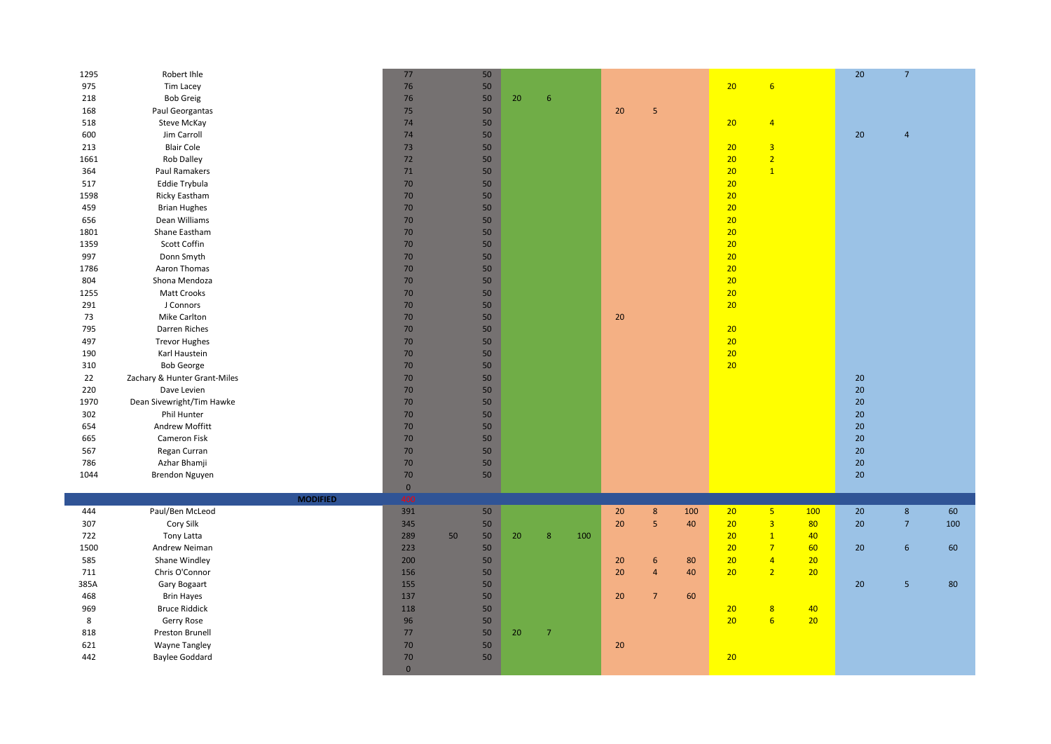| 1295 | Robert Ihle                       | 77                   | 50       |    |                |     |    |                 |     |          |                                     |     | 20 <sup>°</sup> | $\overline{7}$ |     |
|------|-----------------------------------|----------------------|----------|----|----------------|-----|----|-----------------|-----|----------|-------------------------------------|-----|-----------------|----------------|-----|
| 975  | Tim Lacey                         | 76                   | 50       |    |                |     |    |                 |     | 20       | $6\overline{6}$                     |     |                 |                |     |
| 218  | <b>Bob Greig</b>                  | 76                   | 50       | 20 | 6              |     |    |                 |     |          |                                     |     |                 |                |     |
| 168  | Paul Georgantas                   | 75                   | 50       |    |                |     | 20 | 5               |     |          |                                     |     |                 |                |     |
| 518  | Steve McKay                       | 74                   | 50       |    |                |     |    |                 |     | 20       | $\overline{4}$                      |     |                 |                |     |
| 600  | Jim Carroll                       | 74                   | 50       |    |                |     |    |                 |     |          |                                     |     | 20              | $\overline{4}$ |     |
| 213  | <b>Blair Cole</b>                 | 73                   | 50       |    |                |     |    |                 |     | 20       | $\overline{\mathbf{3}}$             |     |                 |                |     |
| 1661 | Rob Dalley                        | 72                   | 50       |    |                |     |    |                 |     | 20       | $\overline{2}$                      |     |                 |                |     |
| 364  | Paul Ramakers                     | 71                   | 50       |    |                |     |    |                 |     | 20       | $\overline{1}$                      |     |                 |                |     |
| 517  | Eddie Trybula                     | 70                   | 50       |    |                |     |    |                 |     | 20       |                                     |     |                 |                |     |
| 1598 | Ricky Eastham                     | 70                   | 50       |    |                |     |    |                 |     | 20       |                                     |     |                 |                |     |
| 459  | <b>Brian Hughes</b>               | 70                   | 50       |    |                |     |    |                 |     | 20       |                                     |     |                 |                |     |
| 656  | Dean Williams                     | 70                   | 50       |    |                |     |    |                 |     | 20       |                                     |     |                 |                |     |
| 1801 | Shane Eastham                     | 70                   | 50       |    |                |     |    |                 |     | 20       |                                     |     |                 |                |     |
| 1359 | Scott Coffin                      | 70                   | 50       |    |                |     |    |                 |     | 20       |                                     |     |                 |                |     |
| 997  | Donn Smyth                        | 70                   | 50       |    |                |     |    |                 |     | 20       |                                     |     |                 |                |     |
| 1786 | Aaron Thomas                      | 70                   | 50       |    |                |     |    |                 |     | 20       |                                     |     |                 |                |     |
| 804  | Shona Mendoza                     | 70                   | 50       |    |                |     |    |                 |     | 20       |                                     |     |                 |                |     |
| 1255 | Matt Crooks                       | 70                   | 50       |    |                |     |    |                 |     | 20       |                                     |     |                 |                |     |
| 291  | J Connors                         | 70                   | 50       |    |                |     |    |                 |     | 20       |                                     |     |                 |                |     |
| 73   | <b>Mike Carlton</b>               | 70                   | 50       |    |                |     | 20 |                 |     |          |                                     |     |                 |                |     |
| 795  | Darren Riches                     | 70                   | 50       |    |                |     |    |                 |     | 20       |                                     |     |                 |                |     |
| 497  | <b>Trevor Hughes</b>              | 70                   | 50       |    |                |     |    |                 |     | 20       |                                     |     |                 |                |     |
| 190  | Karl Haustein                     | 70                   | 50       |    |                |     |    |                 |     | 20       |                                     |     |                 |                |     |
| 310  | <b>Bob George</b>                 | 70                   | 50       |    |                |     |    |                 |     | 20       |                                     |     |                 |                |     |
| 22   | Zachary & Hunter Grant-Miles      | 70                   | 50       |    |                |     |    |                 |     |          |                                     |     | 20              |                |     |
| 220  | Dave Levien                       | 70                   | 50       |    |                |     |    |                 |     |          |                                     |     | 20              |                |     |
| 1970 | Dean Sivewright/Tim Hawke         | 70                   | 50       |    |                |     |    |                 |     |          |                                     |     | 20              |                |     |
| 302  | Phil Hunter                       | 70                   | 50       |    |                |     |    |                 |     |          |                                     |     | 20              |                |     |
| 654  | Andrew Moffitt                    | 70                   | 50       |    |                |     |    |                 |     |          |                                     |     | 20              |                |     |
| 665  | Cameron Fisk                      | 70                   | 50       |    |                |     |    |                 |     |          |                                     |     | 20              |                |     |
| 567  | Regan Curran                      | 70                   | 50       |    |                |     |    |                 |     |          |                                     |     | 20              |                |     |
| 786  | Azhar Bhamji                      | 70                   | 50       |    |                |     |    |                 |     |          |                                     |     | $20\,$          |                |     |
| 1044 | Brendon Nguyen                    | 70                   | 50       |    |                |     |    |                 |     |          |                                     |     | 20              |                |     |
|      |                                   |                      |          |    |                |     |    |                 |     |          |                                     |     |                 |                |     |
|      | <b>MODIFIED</b>                   | $\mathbf 0$<br>400   |          |    |                |     |    |                 |     |          |                                     |     |                 |                |     |
| 444  | Paul/Ben McLeod                   | 391                  | 50       |    |                |     | 20 | $\bf 8$         | 100 | 20       | 5 <sub>1</sub>                      | 100 | 20              | $\bf 8$        | 60  |
| 307  | Cory Silk                         | 345                  | $50\,$   |    |                |     | 20 | $\overline{5}$  | 40  | 20       | $\overline{\mathbf{3}}$             | 80  | 20              | $\overline{7}$ | 100 |
| 722  | Tony Latta                        | 289                  | 50<br>50 | 20 | 8              | 100 |    |                 |     | 20       | $\mathbf{1}$                        | 40  |                 |                |     |
| 1500 | Andrew Neiman                     | 223                  | 50       |    |                |     |    |                 |     | 20       | $7\overline{ }$                     | 60  | 20              | $6\phantom{1}$ | 60  |
| 585  | Shane Windley                     | 200                  | 50       |    |                |     | 20 | 6               | 80  | 20       | $\overline{4}$                      | 20  |                 |                |     |
| 711  | Chris O'Connor                    | 156                  | 50       |    |                |     | 20 | $\overline{4}$  | 40  | 20       | $\overline{2}$                      | 20  |                 |                |     |
| 385A |                                   | 155                  | 50       |    |                |     |    |                 |     |          |                                     |     |                 | $\overline{5}$ |     |
| 468  | Gary Bogaart<br><b>Brin Hayes</b> | 137                  | 50       |    |                |     | 20 | $7\overline{ }$ | 60  |          |                                     |     | 20              |                | 80  |
|      |                                   | 118                  | 50       |    |                |     |    |                 |     |          |                                     | 40  |                 |                |     |
| 969  | <b>Bruce Riddick</b>              | 96                   |          |    |                |     |    |                 |     | 20<br>20 | $\boldsymbol{8}$<br>$6\overline{6}$ |     |                 |                |     |
| 8    | Gerry Rose                        |                      | 50       |    |                |     |    |                 |     |          |                                     | 20  |                 |                |     |
| 818  | Preston Brunell                   | 77                   | $50\,$   | 20 | $\overline{7}$ |     |    |                 |     |          |                                     |     |                 |                |     |
| 621  | <b>Wayne Tangley</b>              | 70                   | 50       |    |                |     | 20 |                 |     |          |                                     |     |                 |                |     |
| 442  | <b>Baylee Goddard</b>             | 70<br>$\overline{0}$ | 50       |    |                |     |    |                 |     | 20       |                                     |     |                 |                |     |
|      |                                   |                      |          |    |                |     |    |                 |     |          |                                     |     |                 |                |     |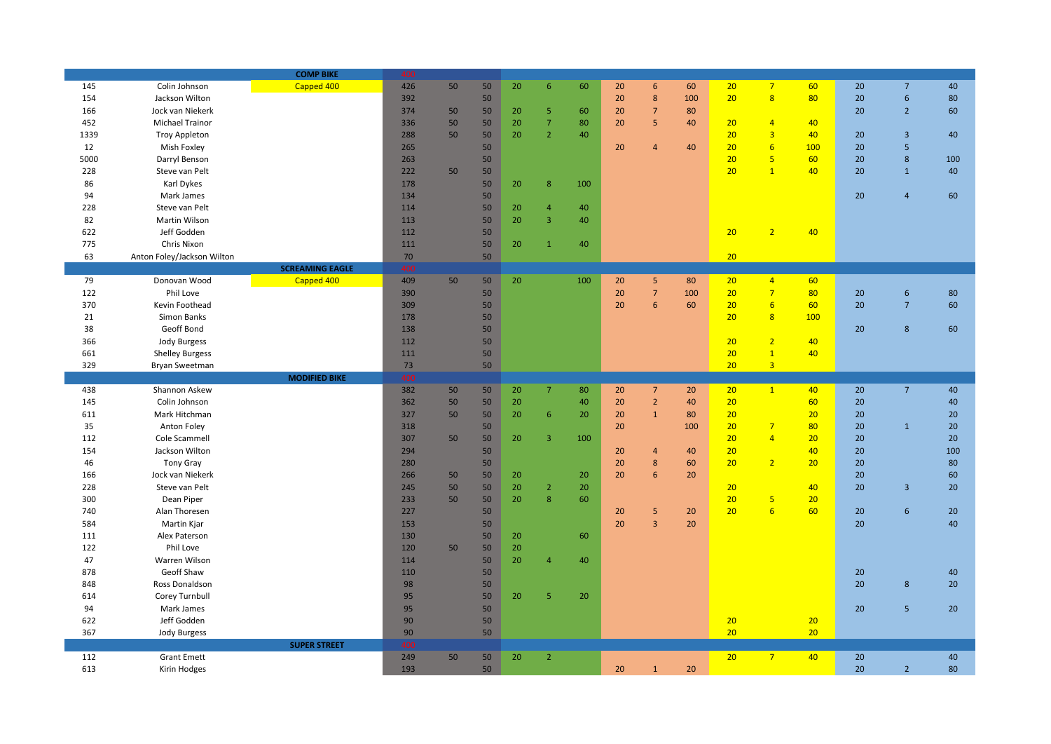|      |                            | <b>COMP BIKE</b>       | 400    |    |    |    |                         |     |    |                 |     |                 |                         |     |    |                         |     |
|------|----------------------------|------------------------|--------|----|----|----|-------------------------|-----|----|-----------------|-----|-----------------|-------------------------|-----|----|-------------------------|-----|
| 145  | Colin Johnson              | Capped 400             | 426    | 50 | 50 | 20 | $\sqrt{6}$              | 60  | 20 | $6\overline{6}$ | 60  | 20              | 7 <sup>7</sup>          | 60  | 20 | $\overline{7}$          | 40  |
| 154  | Jackson Wilton             |                        | 392    |    | 50 |    |                         |     | 20 | $\bf 8$         | 100 | 20 <sub>2</sub> | $\overline{\mathbf{8}}$ | 80  | 20 | $\boldsymbol{6}$        | 80  |
| 166  | Jock van Niekerk           |                        | 374    | 50 | 50 | 20 | 5                       | 60  | 20 | $\overline{7}$  | 80  |                 |                         |     | 20 | $\overline{2}$          | 60  |
| 452  | <b>Michael Trainor</b>     |                        | 336    | 50 | 50 | 20 | $\overline{7}$          | 80  | 20 | $\overline{5}$  | 40  | 20              | $\overline{4}$          | 40  |    |                         |     |
| 1339 | <b>Troy Appleton</b>       |                        | 288    | 50 | 50 | 20 | $\overline{2}$          | 40  |    |                 |     | 20              | $\overline{3}$          | 40  | 20 | $\overline{3}$          | 40  |
| 12   | Mish Foxley                |                        | 265    |    | 50 |    |                         |     | 20 | $\overline{4}$  | 40  | 20              | $6\overline{6}$         | 100 | 20 | $\overline{5}$          |     |
| 5000 | Darryl Benson              |                        | 263    |    | 50 |    |                         |     |    |                 |     | 20              | $\overline{\mathbf{5}}$ | 60  | 20 | $\bf 8$                 | 100 |
| 228  | Steve van Pelt             |                        | 222    | 50 | 50 |    |                         |     |    |                 |     | 20 <sub>2</sub> | $\mathbf{1}$            | 40  | 20 | $\mathbf{1}$            | 40  |
| 86   | Karl Dykes                 |                        | 178    |    | 50 | 20 | 8                       | 100 |    |                 |     |                 |                         |     |    |                         |     |
| 94   | Mark James                 |                        | 134    |    | 50 |    |                         |     |    |                 |     |                 |                         |     | 20 | $\overline{4}$          | 60  |
| 228  | Steve van Pelt             |                        | 114    |    | 50 | 20 | $\overline{4}$          | 40  |    |                 |     |                 |                         |     |    |                         |     |
| 82   | Martin Wilson              |                        | 113    |    | 50 | 20 | $\overline{3}$          | 40  |    |                 |     |                 |                         |     |    |                         |     |
| 622  | Jeff Godden                |                        | 112    |    | 50 |    |                         |     |    |                 |     | 20              | 2 <sup>2</sup>          | 40  |    |                         |     |
| 775  | Chris Nixon                |                        | 111    |    | 50 | 20 | $\overline{1}$          | 40  |    |                 |     |                 |                         |     |    |                         |     |
| 63   | Anton Foley/Jackson Wilton |                        | $70\,$ |    | 50 |    |                         |     |    |                 |     | 20              |                         |     |    |                         |     |
|      |                            | <b>SCREAMING EAGLE</b> | 400    |    |    |    |                         |     |    |                 |     |                 |                         |     |    |                         |     |
| 79   | Donovan Wood               | Capped 400             | 409    | 50 | 50 | 20 |                         | 100 | 20 | 5 <sup>5</sup>  | 80  | 20              | $\overline{4}$          | 60  |    |                         |     |
| 122  | Phil Love                  |                        | 390    |    | 50 |    |                         |     | 20 | $\overline{7}$  | 100 | 20 <sub>2</sub> | $\overline{7}$          | 80  | 20 | $\boldsymbol{6}$        | 80  |
| 370  |                            |                        | 309    |    | 50 |    |                         |     | 20 | 6               |     | 20              | $6 \overline{6}$        | 60  | 20 | $\overline{7}$          | 60  |
|      | Kevin Foothead             |                        | 178    |    | 50 |    |                         |     |    |                 | 60  | 20 <sup>°</sup> | 8                       | 100 |    |                         |     |
| 21   | Simon Banks                |                        |        |    |    |    |                         |     |    |                 |     |                 |                         |     |    |                         |     |
| 38   | Geoff Bond                 |                        | 138    |    | 50 |    |                         |     |    |                 |     |                 |                         |     | 20 | 8                       | 60  |
| 366  | <b>Jody Burgess</b>        |                        | 112    |    | 50 |    |                         |     |    |                 |     | 20              | $\overline{2}$          | 40  |    |                         |     |
| 661  | <b>Shelley Burgess</b>     |                        | 111    |    | 50 |    |                         |     |    |                 |     | 20              | $\overline{1}$          | 40  |    |                         |     |
| 329  | Bryan Sweetman             |                        | 73     |    | 50 |    |                         |     |    |                 |     | 20 <sup>°</sup> | 3 <sup>1</sup>          |     |    |                         |     |
|      |                            |                        |        |    |    |    |                         |     |    |                 |     |                 |                         |     |    |                         |     |
|      |                            | <b>MODIFIED BIKE</b>   | 400    |    |    |    |                         |     |    |                 |     |                 |                         |     |    |                         |     |
| 438  | Shannon Askew              |                        | 382    | 50 | 50 | 20 | $7\overline{ }$         | 80  | 20 | 7 <sup>7</sup>  | 20  | 20              | 1                       | 40  | 20 | $7\overline{ }$         | 40  |
| 145  | Colin Johnson              |                        | 362    | 50 | 50 | 20 |                         | 40  | 20 | $\overline{2}$  | 40  | 20              |                         | 60  | 20 |                         | 40  |
| 611  | Mark Hitchman              |                        | 327    | 50 | 50 | 20 | 6                       | 20  | 20 | $\mathbf{1}$    | 80  | 20              |                         | 20  | 20 |                         | 20  |
| 35   | Anton Foley                |                        | 318    |    | 50 |    |                         |     | 20 |                 | 100 | 20              | $\overline{7}$          | 80  | 20 | $\mathbf{1}$            | 20  |
| 112  | Cole Scammell              |                        | 307    | 50 | 50 | 20 | $\overline{\mathbf{3}}$ | 100 |    |                 |     | 20              | $\overline{4}$          | 20  | 20 |                         | 20  |
| 154  | Jackson Wilton             |                        | 294    |    | 50 |    |                         |     | 20 | $\overline{4}$  | 40  | 20              |                         | 40  | 20 |                         | 100 |
| 46   | <b>Tony Gray</b>           |                        | 280    |    | 50 |    |                         |     | 20 | $8\phantom{1}$  | 60  | 20 <sub>2</sub> | $\overline{2}$          | 20  | 20 |                         | 80  |
| 166  | Jock van Niekerk           |                        | 266    | 50 | 50 | 20 |                         | 20  | 20 | 6               | 20  |                 |                         |     | 20 |                         | 60  |
| 228  | Steve van Pelt             |                        | 245    | 50 | 50 | 20 | $\overline{2}$          | 20  |    |                 |     | 20              |                         | 40  | 20 | $\overline{\mathbf{3}}$ | 20  |
| 300  | Dean Piper                 |                        | 233    | 50 | 50 | 20 | 8                       | 60  |    |                 |     | 20              | 5 <sub>5</sub>          | 20  |    |                         |     |
| 740  | Alan Thoresen              |                        | 227    |    | 50 |    |                         |     | 20 | $\overline{5}$  | 20  | 20              | 6 <sup>2</sup>          | 60  | 20 | 6                       | 20  |
| 584  | Martin Kjar                |                        | 153    |    | 50 |    |                         |     | 20 | $\overline{3}$  | 20  |                 |                         |     | 20 |                         | 40  |
| 111  | Alex Paterson              |                        | 130    |    | 50 | 20 |                         | 60  |    |                 |     |                 |                         |     |    |                         |     |
| 122  | Phil Love                  |                        | 120    | 50 | 50 | 20 |                         |     |    |                 |     |                 |                         |     |    |                         |     |
| 47   | Warren Wilson              |                        | 114    |    | 50 | 20 | $\overline{4}$          | 40  |    |                 |     |                 |                         |     |    |                         |     |
| 878  | Geoff Shaw                 |                        | 110    |    | 50 |    |                         |     |    |                 |     |                 |                         |     | 20 |                         | 40  |
| 848  | Ross Donaldson             |                        | 98     |    | 50 |    |                         |     |    |                 |     |                 |                         |     | 20 | $\bf 8$                 | 20  |
| 614  | Corey Turnbull             |                        | 95     |    | 50 | 20 | 5                       | 20  |    |                 |     |                 |                         |     |    |                         |     |
| 94   | Mark James                 |                        | 95     |    | 50 |    |                         |     |    |                 |     |                 |                         |     | 20 | $5\overline{5}$         | 20  |
| 622  | Jeff Godden                |                        | 90     |    | 50 |    |                         |     |    |                 |     | 20              |                         | 20  |    |                         |     |
| 367  | <b>Jody Burgess</b>        |                        | 90     |    | 50 |    |                         |     |    |                 |     | 20              |                         | 20  |    |                         |     |
|      |                            | <b>SUPER STREET</b>    | 400    |    |    |    |                         |     |    |                 |     |                 |                         |     |    |                         |     |
| 112  | <b>Grant Emett</b>         |                        | 249    | 50 | 50 | 20 | $\overline{2}$          |     |    |                 |     | 20              | $7^{\circ}$             | 40  | 20 |                         | 40  |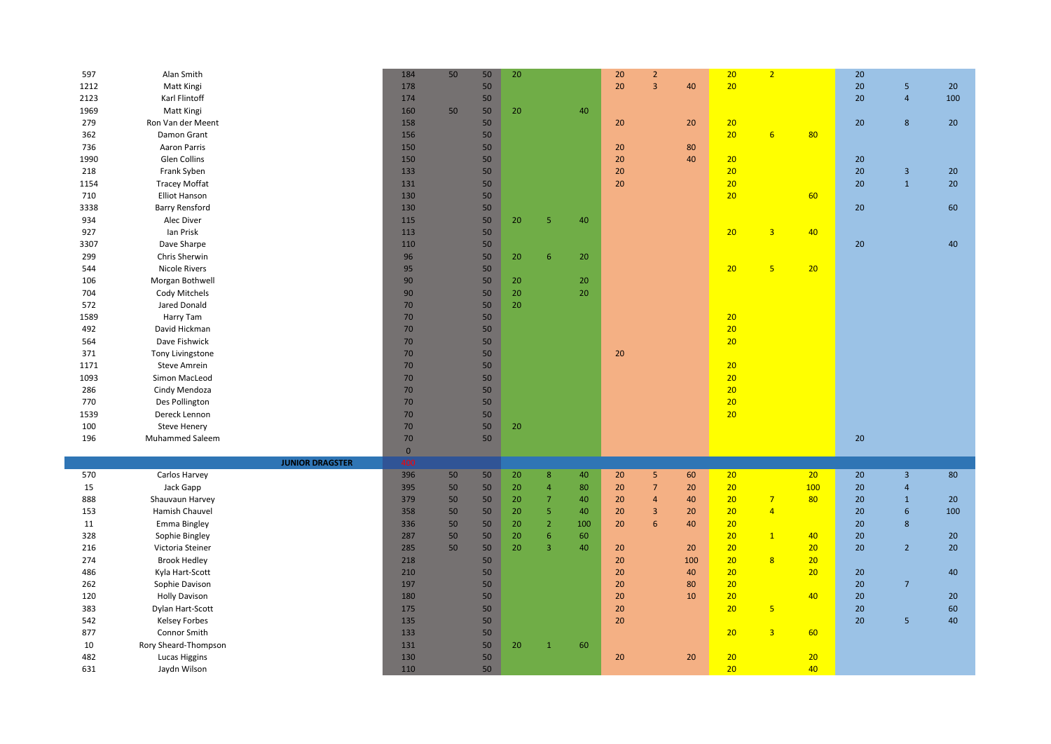| 597  | Alan Smith             | 184          | 50 | 50 | 20 |                  |     | 20 | $\overline{2}$ |     | 20       | $\overline{2}$          |          | 20 |                         |     |
|------|------------------------|--------------|----|----|----|------------------|-----|----|----------------|-----|----------|-------------------------|----------|----|-------------------------|-----|
| 1212 | Matt Kingi             | 178          |    | 50 |    |                  |     | 20 | $\overline{3}$ | 40  | 20       |                         |          | 20 | 5                       | 20  |
| 2123 | Karl Flintoff          | 174          |    | 50 |    |                  |     |    |                |     |          |                         |          | 20 | $\overline{4}$          | 100 |
| 1969 | Matt Kingi             | 160          | 50 | 50 | 20 |                  | 40  |    |                |     |          |                         |          |    |                         |     |
| 279  | Ron Van der Meent      | 158          |    | 50 |    |                  |     | 20 |                | 20  | 20       |                         |          | 20 | 8                       | 20  |
| 362  | Damon Grant            | 156          |    | 50 |    |                  |     |    |                |     | 20       | 6 <sup>1</sup>          | 80       |    |                         |     |
| 736  | Aaron Parris           | 150          |    | 50 |    |                  |     | 20 |                | 80  |          |                         |          |    |                         |     |
| 1990 | Glen Collins           | 150          |    | 50 |    |                  |     | 20 |                | 40  | 20       |                         |          | 20 |                         |     |
| 218  | Frank Syben            | 133          |    | 50 |    |                  |     | 20 |                |     | 20       |                         |          | 20 | $\overline{3}$          | 20  |
| 1154 | <b>Tracey Moffat</b>   | 131          |    | 50 |    |                  |     | 20 |                |     | 20       |                         |          | 20 | $\mathbf{1}$            | 20  |
| 710  | Elliot Hanson          | 130          |    | 50 |    |                  |     |    |                |     | 20       |                         | 60       |    |                         |     |
| 3338 | Barry Rensford         | 130          |    | 50 |    |                  |     |    |                |     |          |                         |          | 20 |                         | 60  |
| 934  | Alec Diver             | 115          |    | 50 | 20 | 5                | 40  |    |                |     |          |                         |          |    |                         |     |
| 927  | lan Prisk              | 113          |    | 50 |    |                  |     |    |                |     | 20       | $\overline{\mathbf{3}}$ | 40       |    |                         |     |
| 3307 | Dave Sharpe            | 110          |    | 50 |    |                  |     |    |                |     |          |                         |          | 20 |                         | 40  |
| 299  | Chris Sherwin          | 96           |    | 50 | 20 | 6                | 20  |    |                |     |          |                         |          |    |                         |     |
| 544  | <b>Nicole Rivers</b>   | 95           |    | 50 |    |                  |     |    |                |     | 20       | 5 <sub>5</sub>          | 20       |    |                         |     |
| 106  | Morgan Bothwell        | 90           |    | 50 | 20 |                  | 20  |    |                |     |          |                         |          |    |                         |     |
| 704  | Cody Mitchels          | 90           |    | 50 | 20 |                  | 20  |    |                |     |          |                         |          |    |                         |     |
| 572  | Jared Donald           | 70           |    | 50 | 20 |                  |     |    |                |     |          |                         |          |    |                         |     |
| 1589 | Harry Tam              | 70           |    | 50 |    |                  |     |    |                |     | 20       |                         |          |    |                         |     |
| 492  | David Hickman          | 70           |    | 50 |    |                  |     |    |                |     | 20       |                         |          |    |                         |     |
| 564  | Dave Fishwick          | 70           |    | 50 |    |                  |     |    |                |     | 20       |                         |          |    |                         |     |
| 371  | Tony Livingstone       | 70           |    | 50 |    |                  |     | 20 |                |     |          |                         |          |    |                         |     |
| 1171 | Steve Amrein           | 70           |    | 50 |    |                  |     |    |                |     | 20       |                         |          |    |                         |     |
| 1093 | Simon MacLeod          | 70           |    | 50 |    |                  |     |    |                |     | 20       |                         |          |    |                         |     |
| 286  |                        | 70           |    | 50 |    |                  |     |    |                |     | 20       |                         |          |    |                         |     |
|      | Cindy Mendoza          |              |    |    |    |                  |     |    |                |     | 20       |                         |          |    |                         |     |
| 770  | Des Pollington         | 70           |    | 50 |    |                  |     |    |                |     |          |                         |          |    |                         |     |
| 1539 | Dereck Lennon          | 70           |    | 50 |    |                  |     |    |                |     | 20       |                         |          |    |                         |     |
|      |                        |              |    |    |    |                  |     |    |                |     |          |                         |          |    |                         |     |
| 100  | <b>Steve Henery</b>    | 70           |    | 50 | 20 |                  |     |    |                |     |          |                         |          |    |                         |     |
| 196  | Muhammed Saleem        | 70           |    | 50 |    |                  |     |    |                |     |          |                         |          | 20 |                         |     |
|      |                        | $\mathbf{0}$ |    |    |    |                  |     |    |                |     |          |                         |          |    |                         |     |
|      | <b>JUNIOR DRAGSTER</b> | 400          |    |    |    |                  |     |    |                |     |          |                         |          |    |                         |     |
| 570  | Carlos Harvey          | 396          | 50 | 50 | 20 | $\boldsymbol{8}$ | 40  | 20 | 5 <sub>5</sub> | 60  | 20       |                         | 20       | 20 | $\overline{\mathbf{3}}$ | 80  |
| 15   | Jack Gapp              | 395          | 50 | 50 | 20 | $\overline{4}$   | 80  | 20 | $\overline{7}$ | 20  | 20       |                         | 100      | 20 | $\overline{4}$          |     |
| 888  | Shauvaun Harvey        | 379          | 50 | 50 | 20 | $\overline{7}$   | 40  | 20 | $\overline{4}$ | 40  | 20       | $\overline{7}$          | 80       | 20 | $\mathbf{1}$            | 20  |
| 153  | Hamish Chauvel         | 358          | 50 | 50 | 20 | 5                | 40  | 20 | $\overline{3}$ | 20  | 20       | $\overline{4}$          |          | 20 | 6                       | 100 |
| 11   | <b>Emma Bingley</b>    | 336          | 50 | 50 | 20 | $\overline{2}$   | 100 | 20 | 6              | 40  | 20       |                         |          | 20 | 8                       |     |
| 328  | Sophie Bingley         | 287          | 50 | 50 | 20 | 6                | 60  |    |                |     | 20       | $\mathbf{1}$            | 40       | 20 |                         | 20  |
| 216  | Victoria Steiner       | 285          | 50 | 50 | 20 | 3                | 40  | 20 |                | 20  | 20       |                         | 20       | 20 | $\overline{2}$          | 20  |
| 274  | <b>Brook Hedley</b>    | 218          |    | 50 |    |                  |     | 20 |                | 100 | 20       | 8                       | 20       |    |                         |     |
| 486  | Kyla Hart-Scott        | 210          |    | 50 |    |                  |     | 20 |                | 40  | 20       |                         | 20       | 20 |                         | 40  |
| 262  | Sophie Davison         | 197          |    | 50 |    |                  |     | 20 |                | 80  | 20       |                         |          | 20 | $\overline{7}$          |     |
| 120  | <b>Holly Davison</b>   | 180          |    | 50 |    |                  |     | 20 |                | 10  | 20       |                         | 40       | 20 |                         | 20  |
| 383  | Dylan Hart-Scott       | 175          |    | 50 |    |                  |     | 20 |                |     | 20       | 5 <sub>o</sub>          |          | 20 |                         | 60  |
| 542  | Kelsey Forbes          | 135          |    | 50 |    |                  |     | 20 |                |     |          |                         |          | 20 | 5                       | 40  |
| 877  | Connor Smith           | 133          |    | 50 |    |                  |     |    |                |     | 20       | $\overline{3}$          | 60       |    |                         |     |
| 10   | Rory Sheard-Thompson   | 131          |    | 50 | 20 | $\mathbf{1}$     | 60  |    |                |     |          |                         |          |    |                         |     |
| 482  | Lucas Higgins          | 130          |    | 50 |    |                  |     | 20 |                | 20  | 20<br>20 |                         | 20<br>40 |    |                         |     |

F